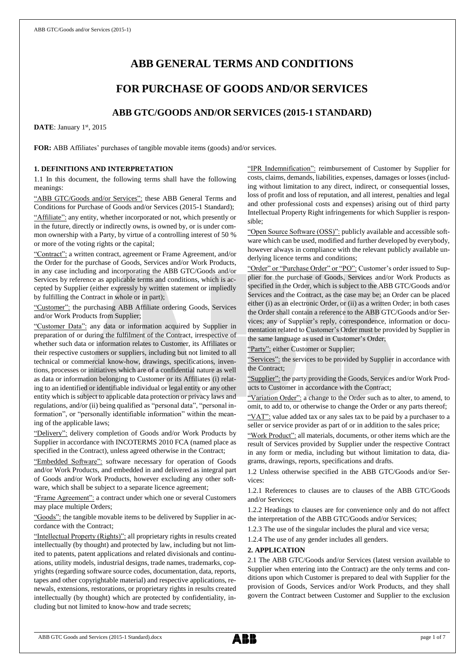# **ABB GENERAL TERMS AND CONDITIONS**

## **FOR PURCHASE OF GOODS AND/OR SERVICES**

## **ABB GTC/GOODS AND/OR SERVICES (2015-1 STANDARD)**

DATE: January 1st, 2015

**FOR:** ABB Affiliates' purchases of tangible movable items (goods) and/or services.

## **1. DEFINITIONS AND INTERPRETATION**

1.1 In this document, the following terms shall have the following meanings:

"ABB GTC/Goods and/or Services": these ABB General Terms and Conditions for Purchase of Goods and/or Services (2015-1 Standard); "Affiliate": any entity, whether incorporated or not, which presently or in the future, directly or indirectly owns, is owned by, or is under common ownership with a Party, by virtue of a controlling interest of 50 % or more of the voting rights or the capital;

"Contract": a written contract, agreement or Frame Agreement, and/or the Order for the purchase of Goods, Services and/or Work Products, in any case including and incorporating the ABB GTC/Goods and/or Services by reference as applicable terms and conditions, which is accepted by Supplier (either expressly by written statement or impliedly by fulfilling the Contract in whole or in part);

"Customer": the purchasing ABB Affiliate ordering Goods, Services and/or Work Products from Supplier;

"Customer Data": any data or information acquired by Supplier in preparation of or during the fulfilment of the Contract, irrespective of whether such data or information relates to Customer, its Affiliates or their respective customers or suppliers, including but not limited to all technical or commercial know-how, drawings, specifications, inventions, processes or initiatives which are of a confidential nature as well as data or information belonging to Customer or its Affiliates (i) relating to an identified or identifiable individual or legal entity or any other entity which is subject to applicable data protection or privacy laws and regulations, and/or (ii) being qualified as "personal data", "personal information", or "personally identifiable information" within the meaning of the applicable laws;

"Delivery": delivery completion of Goods and/or Work Products by Supplier in accordance with INCOTERMS 2010 FCA (named place as specified in the Contract), unless agreed otherwise in the Contract;

edded Software": software necessary for operation of Goods and/or Work Products, and embedded in and delivered as integral part of Goods and/or Work Products, however excluding any other software, which shall be subject to a separate licence agreement;

"Frame Agreement": a contract under which one or several Customers may place multiple Orders;

"Goods": the tangible movable items to be delivered by Supplier in accordance with the Contract;

"Intellectual Property (Rights)": all proprietary rights in results created intellectually (by thought) and protected by law, including but not limited to patents, patent applications and related divisionals and continuations, utility models, industrial designs, trade names, trademarks, copyrights (regarding software source codes, documentation, data, reports, tapes and other copyrightable material) and respective applications, renewals, extensions, restorations, or proprietary rights in results created intellectually (by thought) which are protected by confidentiality, including but not limited to know-how and trade secrets;

"IPR Indemnification": reimbursement of Customer by Supplier for costs, claims, demands, liabilities, expenses, damages or losses (including without limitation to any direct, indirect, or consequential losses, loss of profit and loss of reputation, and all interest, penalties and legal and other professional costs and expenses) arising out of third party Intellectual Property Right infringements for which Supplier is responsible;

"Open Source Software (OSS)": publicly available and accessible software which can be used, modified and further developed by everybody, however always in compliance with the relevant publicly available underlying licence terms and conditions;

"Order" or "Purchase Order" or "PO": Customer's order issued to Supplier for the purchase of Goods, Services and/or Work Products as specified in the Order, which is subject to the ABB GTC/Goods and/or Services and the Contract, as the case may be; an Order can be placed either (i) as an electronic Order, or (ii) as a written Order; in both cases the Order shall contain a reference to the ABB GTC/Goods and/or Services; any of Supplier's reply, correspondence, information or documentation related to Customer's Order must be provided by Supplier in the same language as used in Customer's Order;

"Party": either Customer or Supplier;

"Services": the services to be provided by Supplier in accordance with the Contract;

"Supplier": the party providing the Goods, Services and/or Work Products to Customer in accordance with the Contract;

"Variation Order": a change to the Order such as to alter, to amend, to omit, to add to, or otherwise to change the Order or any parts thereof;

"VAT": value added tax or any sales tax to be paid by a purchaser to a seller or service provider as part of or in addition to the sales price;

"Work Product": all materials, documents, or other items which are the result of Services provided by Supplier under the respective Contract in any form or media, including but without limitation to data, diagrams, drawings, reports, specifications and drafts.

1.2 Unless otherwise specified in the ABB GTC/Goods and/or Services:

1.2.1 References to clauses are to clauses of the ABB GTC/Goods and/or Services;

1.2.2 Headings to clauses are for convenience only and do not affect the interpretation of the ABB GTC/Goods and/or Services;

1.2.3 The use of the singular includes the plural and vice versa;

1.2.4 The use of any gender includes all genders.

## **2. APPLICATION**

2.1 The ABB GTC/Goods and/or Services (latest version available to Supplier when entering into the Contract) are the only terms and conditions upon which Customer is prepared to deal with Supplier for the provision of Goods, Services and/or Work Products, and they shall govern the Contract between Customer and Supplier to the exclusion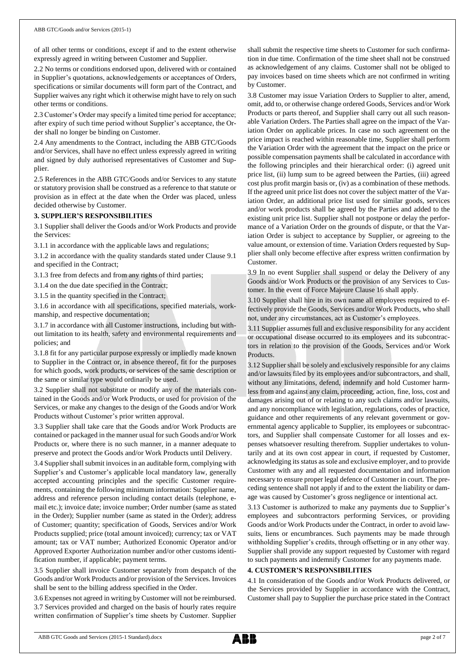of all other terms or conditions, except if and to the extent otherwise expressly agreed in writing between Customer and Supplier.

2.2 No terms or conditions endorsed upon, delivered with or contained in Supplier's quotations, acknowledgements or acceptances of Orders, specifications or similar documents will form part of the Contract, and Supplier waives any right which it otherwise might have to rely on such other terms or conditions.

2.3 Customer's Order may specify a limited time period for acceptance; after expiry of such time period without Supplier's acceptance, the Order shall no longer be binding on Customer.

2.4 Any amendments to the Contract, including the ABB GTC/Goods and/or Services, shall have no effect unless expressly agreed in writing and signed by duly authorised representatives of Customer and Supplier.

2.5 References in the ABB GTC/Goods and/or Services to any statute or statutory provision shall be construed as a reference to that statute or provision as in effect at the date when the Order was placed, unless decided otherwise by Customer.

## **3. SUPPLIER'S RESPONSIBILITIES**

3.1 Supplier shall deliver the Goods and/or Work Products and provide the Services:

3.1.1 in accordance with the applicable laws and regulations;

3.1.2 in accordance with the quality standards stated under Clause 9.1 and specified in the Contract;

3.1.3 free from defects and from any rights of third parties;

3.1.4 on the due date specified in the Contract;

3.1.5 in the quantity specified in the Contract;

3.1.6 in accordance with all specifications, specified materials, workmanship, and respective documentation;

3.1.7 in accordance with all Customer instructions, including but without limitation to its health, safety and environmental requirements and policies; and

3.1.8 fit for any particular purpose expressly or impliedly made known to Supplier in the Contract or, in absence thereof, fit for the purposes for which goods, work products, or services of the same description or the same or similar type would ordinarily be used.

3.2 Supplier shall not substitute or modify any of the materials contained in the Goods and/or Work Products, or used for provision of the Services, or make any changes to the design of the Goods and/or Work Products without Customer's prior written approval.

3.3 Supplier shall take care that the Goods and/or Work Products are contained or packaged in the manner usual for such Goods and/or Work Products or, where there is no such manner, in a manner adequate to preserve and protect the Goods and/or Work Products until Delivery.

3.4 Supplier shall submit invoices in an auditable form, complying with Supplier's and Customer's applicable local mandatory law, generally accepted accounting principles and the specific Customer requirements, containing the following minimum information: Supplier name, address and reference person including contact details (telephone, email etc.); invoice date; invoice number; Order number (same as stated in the Order); Supplier number (same as stated in the Order); address of Customer; quantity; specification of Goods, Services and/or Work Products supplied; price (total amount invoiced); currency; tax or VAT amount; tax or VAT number; Authorized Economic Operator and/or Approved Exporter Authorization number and/or other customs identification number, if applicable; payment terms.

3.5 Supplier shall invoice Customer separately from despatch of the Goods and/or Work Products and/or provision of the Services. Invoices shall be sent to the billing address specified in the Order.

3.6 Expenses not agreed in writing by Customer will not be reimbursed. 3.7 Services provided and charged on the basis of hourly rates require written confirmation of Supplier's time sheets by Customer. Supplier shall submit the respective time sheets to Customer for such confirmation in due time. Confirmation of the time sheet shall not be construed as acknowledgement of any claims. Customer shall not be obliged to pay invoices based on time sheets which are not confirmed in writing by Customer.

3.8 Customer may issue Variation Orders to Supplier to alter, amend, omit, add to, or otherwise change ordered Goods, Services and/or Work Products or parts thereof, and Supplier shall carry out all such reasonable Variation Orders. The Parties shall agree on the impact of the Variation Order on applicable prices. In case no such agreement on the price impact is reached within reasonable time, Supplier shall perform the Variation Order with the agreement that the impact on the price or possible compensation payments shall be calculated in accordance with the following principles and their hierarchical order: (i) agreed unit price list, (ii) lump sum to be agreed between the Parties, (iii) agreed cost plus profit margin basis or, (iv) as a combination of these methods. If the agreed unit price list does not cover the subject matter of the Variation Order, an additional price list used for similar goods, services and/or work products shall be agreed by the Parties and added to the existing unit price list. Supplier shall not postpone or delay the performance of a Variation Order on the grounds of dispute, or that the Variation Order is subject to acceptance by Supplier, or agreeing to the value amount, or extension of time. Variation Orders requested by Supplier shall only become effective after express written confirmation by Customer.

3.9 In no event Supplier shall suspend or delay the Delivery of any Goods and/or Work Products or the provision of any Services to Customer. In the event of Force Majeure Clause 16 shall apply.

3.10 Supplier shall hire in its own name all employees required to effectively provide the Goods, Services and/or Work Products, who shall not, under any circumstances, act as Customer's employees.

3.11 Supplier assumes full and exclusive responsibility for any accident or occupational disease occurred to its employees and its subcontractors in relation to the provision of the Goods, Services and/or Work Products.

3.12 Supplier shall be solely and exclusively responsible for any claims and/or lawsuits filed by its employees and/or subcontractors, and shall, without any limitations, defend, indemnify and hold Customer harmless from and against any claim, proceeding, action, fine, loss, cost and damages arising out of or relating to any such claims and/or lawsuits, and any noncompliance with legislation, regulations, codes of practice, guidance and other requirements of any relevant government or governmental agency applicable to Supplier, its employees or subcontractors, and Supplier shall compensate Customer for all losses and expenses whatsoever resulting therefrom. Supplier undertakes to voluntarily and at its own cost appear in court, if requested by Customer, acknowledging its status as sole and exclusive employer, and to provide Customer with any and all requested documentation and information necessary to ensure proper legal defence of Customer in court. The preceding sentence shall not apply if and to the extent the liability or damage was caused by Customer's gross negligence or intentional act.

3.13 Customer is authorized to make any payments due to Supplier's employees and subcontractors performing Services, or providing Goods and/or Work Products under the Contract, in order to avoid lawsuits, liens or encumbrances. Such payments may be made through withholding Supplier's credits, through offsetting or in any other way. Supplier shall provide any support requested by Customer with regard to such payments and indemnify Customer for any payments made.

## **4. CUSTOMER'S RESPONSIBILITIES**

4.1 In consideration of the Goods and/or Work Products delivered, or the Services provided by Supplier in accordance with the Contract, Customer shall pay to Supplier the purchase price stated in the Contract

ABB GTC Goods and Services (2015-1 Standard).docx page 2 of 7

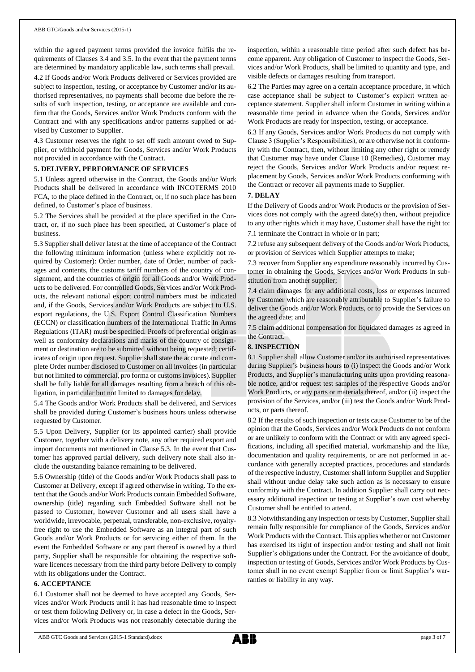within the agreed payment terms provided the invoice fulfils the requirements of Clauses 3.4 and 3.5. In the event that the payment terms are determined by mandatory applicable law, such terms shall prevail.

4.2 If Goods and/or Work Products delivered or Services provided are subject to inspection, testing, or acceptance by Customer and/or its authorised representatives, no payments shall become due before the results of such inspection, testing, or acceptance are available and confirm that the Goods, Services and/or Work Products conform with the Contract and with any specifications and/or patterns supplied or advised by Customer to Supplier.

4.3 Customer reserves the right to set off such amount owed to Supplier, or withhold payment for Goods, Services and/or Work Products not provided in accordance with the Contract.

### **5. DELIVERY, PERFORMANCE OF SERVICES**

5.1 Unless agreed otherwise in the Contract, the Goods and/or Work Products shall be delivered in accordance with INCOTERMS 2010 FCA, to the place defined in the Contract, or, if no such place has been defined, to Customer's place of business.

5.2 The Services shall be provided at the place specified in the Contract, or, if no such place has been specified, at Customer's place of business.

5.3 Supplier shall deliver latest at the time of acceptance of the Contract the following minimum information (unless where explicitly not required by Customer): Order number, date of Order, number of packages and contents, the customs tariff numbers of the country of consignment, and the countries of origin for all Goods and/or Work Products to be delivered. For controlled Goods, Services and/or Work Products, the relevant national export control numbers must be indicated and, if the Goods, Services and/or Work Products are subject to U.S. export regulations, the U.S. Export Control Classification Numbers (ECCN) or classification numbers of the International Traffic In Arms Regulations (ITAR) must be specified. Proofs of preferential origin as well as conformity declarations and marks of the country of consignment or destination are to be submitted without being requested; certificates of origin upon request. Supplier shall state the accurate and complete Order number disclosed to Customer on all invoices (in particular but not limited to commercial, pro forma or customs invoices). Supplier shall be fully liable for all damages resulting from a breach of this obligation, in particular but not limited to damages for delay.

5.4 The Goods and/or Work Products shall be delivered, and Services shall be provided during Customer's business hours unless otherwise requested by Customer.

5.5 Upon Delivery, Supplier (or its appointed carrier) shall provide Customer, together with a delivery note, any other required export and import documents not mentioned in Clause 5.3. In the event that Customer has approved partial delivery, such delivery note shall also include the outstanding balance remaining to be delivered.

5.6 Ownership (title) of the Goods and/or Work Products shall pass to Customer at Delivery, except if agreed otherwise in writing. To the extent that the Goods and/or Work Products contain Embedded Software, ownership (title) regarding such Embedded Software shall not be passed to Customer, however Customer and all users shall have a worldwide, irrevocable, perpetual, transferable, non-exclusive, royaltyfree right to use the Embedded Software as an integral part of such Goods and/or Work Products or for servicing either of them. In the event the Embedded Software or any part thereof is owned by a third party, Supplier shall be responsible for obtaining the respective software licences necessary from the third party before Delivery to comply with its obligations under the Contract.

### **6. ACCEPTANCE**

6.1 Customer shall not be deemed to have accepted any Goods, Services and/or Work Products until it has had reasonable time to inspect or test them following Delivery or, in case a defect in the Goods, Services and/or Work Products was not reasonably detectable during the

inspection, within a reasonable time period after such defect has become apparent. Any obligation of Customer to inspect the Goods, Services and/or Work Products, shall be limited to quantity and type, and visible defects or damages resulting from transport.

6.2 The Parties may agree on a certain acceptance procedure, in which case acceptance shall be subject to Customer's explicit written acceptance statement. Supplier shall inform Customer in writing within a reasonable time period in advance when the Goods, Services and/or Work Products are ready for inspection, testing, or acceptance.

6.3 If any Goods, Services and/or Work Products do not comply with Clause 3 (Supplier's Responsibilities), or are otherwise not in conformity with the Contract, then, without limiting any other right or remedy that Customer may have under Clause 10 (Remedies), Customer may reject the Goods, Services and/or Work Products and/or request replacement by Goods, Services and/or Work Products conforming with the Contract or recover all payments made to Supplier.

### **7. DELAY**

If the Delivery of Goods and/or Work Products or the provision of Services does not comply with the agreed date(s) then, without prejudice to any other rights which it may have, Customer shall have the right to: 7.1 terminate the Contract in whole or in part;

7.2 refuse any subsequent delivery of the Goods and/or Work Products, or provision of Services which Supplier attempts to make;

7.3 recover from Supplier any expenditure reasonably incurred by Customer in obtaining the Goods, Services and/or Work Products in substitution from another supplier;

7.4 claim damages for any additional costs, loss or expenses incurred by Customer which are reasonably attributable to Supplier's failure to deliver the Goods and/or Work Products, or to provide the Services on the agreed date; and

7.5 claim additional compensation for liquidated damages as agreed in the Contract.

## **8. INSPECTION**

8.1 Supplier shall allow Customer and/or its authorised representatives during Supplier's business hours to (i) inspect the Goods and/or Work Products, and Supplier's manufacturing units upon providing reasonable notice, and/or request test samples of the respective Goods and/or Work Products, or any parts or materials thereof, and/or (ii) inspect the provision of the Services, and/or (iii) test the Goods and/or Work Products, or parts thereof.

8.2 If the results of such inspection or tests cause Customer to be of the opinion that the Goods, Services and/or Work Products do not conform or are unlikely to conform with the Contract or with any agreed specifications, including all specified material, workmanship and the like, documentation and quality requirements, or are not performed in accordance with generally accepted practices, procedures and standards of the respective industry, Customer shall inform Supplier and Supplier shall without undue delay take such action as is necessary to ensure conformity with the Contract. In addition Supplier shall carry out necessary additional inspection or testing at Supplier's own cost whereby Customer shall be entitled to attend.

8.3 Notwithstanding any inspection or tests by Customer, Supplier shall remain fully responsible for compliance of the Goods, Services and/or Work Products with the Contract. This applies whether or not Customer has exercised its right of inspection and/or testing and shall not limit Supplier's obligations under the Contract. For the avoidance of doubt, inspection or testing of Goods, Services and/or Work Products by Customer shall in no event exempt Supplier from or limit Supplier's warranties or liability in any way.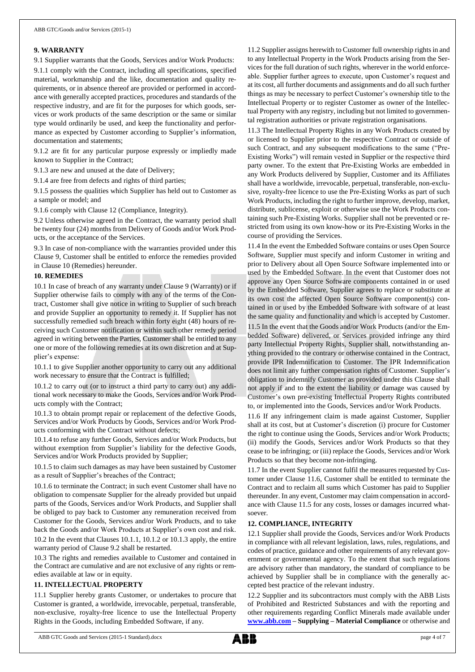### **9. WARRANTY**

9.1 Supplier warrants that the Goods, Services and/or Work Products: 9.1.1 comply with the Contract, including all specifications, specified material, workmanship and the like, documentation and quality requirements, or in absence thereof are provided or performed in accordance with generally accepted practices, procedures and standards of the respective industry, and are fit for the purposes for which goods, services or work products of the same description or the same or similar type would ordinarily be used, and keep the functionality and performance as expected by Customer according to Supplier's information, documentation and statements;

9.1.2 are fit for any particular purpose expressly or impliedly made known to Supplier in the Contract;

9.1.3 are new and unused at the date of Delivery;

9.1.4 are free from defects and rights of third parties;

9.1.5 possess the qualities which Supplier has held out to Customer as a sample or model; and

9.1.6 comply with Clause 12 (Compliance, Integrity).

9.2 Unless otherwise agreed in the Contract, the warranty period shall be twenty four (24) months from Delivery of Goods and/or Work Products, or the acceptance of the Services.

9.3 In case of non-compliance with the warranties provided under this Clause 9, Customer shall be entitled to enforce the remedies provided in Clause 10 (Remedies) hereunder.

### **10. REMEDIES**

10.1 In case of breach of any warranty under Clause 9 (Warranty) or if Supplier otherwise fails to comply with any of the terms of the Contract, Customer shall give notice in writing to Supplier of such breach and provide Supplier an opportunity to remedy it. If Supplier has not successfully remedied such breach within forty eight (48) hours of receiving such Customer notification or within such other remedy period agreed in writing between the Parties, Customer shall be entitled to any one or more of the following remedies at its own discretion and at Supplier's expense:

10.1.1 to give Supplier another opportunity to carry out any additional work necessary to ensure that the Contract is fulfilled;

10.1.2 to carry out (or to instruct a third party to carry out) any additional work necessary to make the Goods, Services and/or Work Products comply with the Contract;

10.1.3 to obtain prompt repair or replacement of the defective Goods, Services and/or Work Products by Goods, Services and/or Work Products conforming with the Contract without defects;

10.1.4 to refuse any further Goods, Services and/or Work Products, but without exemption from Supplier's liability for the defective Goods, Services and/or Work Products provided by Supplier;

10.1.5 to claim such damages as may have been sustained by Customer as a result of Supplier's breaches of the Contract;

10.1.6 to terminate the Contract; in such event Customer shall have no obligation to compensate Supplier for the already provided but unpaid parts of the Goods, Services and/or Work Products, and Supplier shall be obliged to pay back to Customer any remuneration received from Customer for the Goods, Services and/or Work Products, and to take back the Goods and/or Work Products at Supplier's own cost and risk.

10.2 In the event that Clauses 10.1.1, 10.1.2 or 10.1.3 apply, the entire warranty period of Clause 9.2 shall be restarted.

10.3 The rights and remedies available to Customer and contained in the Contract are cumulative and are not exclusive of any rights or remedies available at law or in equity.

## **11. INTELLECTUAL PROPERTY**

11.1 Supplier hereby grants Customer, or undertakes to procure that Customer is granted, a worldwide, irrevocable, perpetual, transferable, non-exclusive, royalty-free licence to use the Intellectual Property Rights in the Goods, including Embedded Software, if any.

11.2 Supplier assigns herewith to Customer full ownership rights in and to any Intellectual Property in the Work Products arising from the Services for the full duration of such rights, wherever in the world enforceable. Supplier further agrees to execute, upon Customer's request and at its cost, all further documents and assignments and do all such further things as may be necessary to perfect Customer's ownership title to the Intellectual Property or to register Customer as owner of the Intellectual Property with any registry, including but not limited to governmental registration authorities or private registration organisations.

11.3 The Intellectual Property Rights in any Work Products created by or licensed to Supplier prior to the respective Contract or outside of such Contract, and any subsequent modifications to the same ("Pre-Existing Works") will remain vested in Supplier or the respective third party owner. To the extent that Pre-Existing Works are embedded in any Work Products delivered by Supplier, Customer and its Affiliates shall have a worldwide, irrevocable, perpetual, transferable, non-exclusive, royalty-free licence to use the Pre-Existing Works as part of such Work Products, including the right to further improve, develop, market, distribute, sublicense, exploit or otherwise use the Work Products containing such Pre-Existing Works. Supplier shall not be prevented or restricted from using its own know-how or its Pre-Existing Works in the course of providing the Services.

11.4 In the event the Embedded Software contains or uses Open Source Software, Supplier must specify and inform Customer in writing and prior to Delivery about all Open Source Software implemented into or used by the Embedded Software. In the event that Customer does not approve any Open Source Software components contained in or used by the Embedded Software, Supplier agrees to replace or substitute at its own cost the affected Open Source Software component(s) contained in or used by the Embedded Software with software of at least the same quality and functionality and which is accepted by Customer. 11.5 In the event that the Goods and/or Work Products (and/or the Embedded Software) delivered, or Services provided infringe any third party Intellectual Property Rights, Supplier shall, notwithstanding anything provided to the contrary or otherwise contained in the Contract, provide IPR Indemnification to Customer. The IPR Indemnification does not limit any further compensation rights of Customer. Supplier's obligation to indemnify Customer as provided under this Clause shall not apply if and to the extent the liability or damage was caused by Customer's own pre-existing Intellectual Property Rights contributed to, or implemented into the Goods, Services and/or Work Products.

11.6 If any infringement claim is made against Customer, Supplier shall at its cost, but at Customer's discretion (i) procure for Customer the right to continue using the Goods, Services and/or Work Products; (ii) modify the Goods, Services and/or Work Products so that they cease to be infringing; or (iii) replace the Goods, Services and/or Work Products so that they become non-infringing.

11.7 In the event Supplier cannot fulfil the measures requested by Customer under Clause 11.6, Customer shall be entitled to terminate the Contract and to reclaim all sums which Customer has paid to Supplier thereunder. In any event, Customer may claim compensation in accordance with Clause 11.5 for any costs, losses or damages incurred whatsoever.

#### **12. COMPLIANCE, INTEGRITY**

12.1 Supplier shall provide the Goods, Services and/or Work Products in compliance with all relevant legislation, laws, rules, regulations, and codes of practice, guidance and other requirements of any relevant government or governmental agency. To the extent that such regulations are advisory rather than mandatory, the standard of compliance to be achieved by Supplier shall be in compliance with the generally accepted best practice of the relevant industry.

12.2 Supplier and its subcontractors must comply with the ABB Lists of Prohibited and Restricted Substances and with the reporting and other requirements regarding Conflict Minerals made available under **[www.abb.com](http://www.abb.com/) – Supplying – Material Compliance** or otherwise and

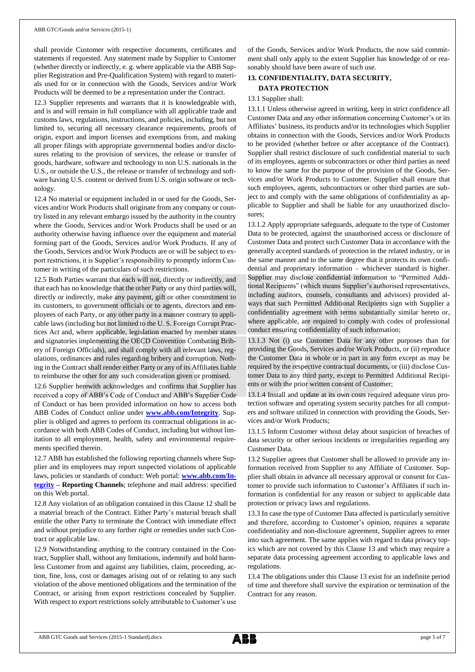shall provide Customer with respective documents, certificates and statements if requested. Any statement made by Supplier to Customer (whether directly or indirectly, e. g. where applicable via the ABB Supplier Registration and Pre-Qualification System) with regard to materials used for or in connection with the Goods, Services and/or Work Products will be deemed to be a representation under the Contract.

12.3 Supplier represents and warrants that it is knowledgeable with, and is and will remain in full compliance with all applicable trade and customs laws, regulations, instructions, and policies, including, but not limited to, securing all necessary clearance requirements, proofs of origin, export and import licenses and exemptions from, and making all proper filings with appropriate governmental bodies and/or disclosures relating to the provision of services, the release or transfer of goods, hardware, software and technology to non U.S. nationals in the U.S., or outside the U.S., the release or transfer of technology and software having U.S. content or derived from U.S. origin software or technology.

12.4 No material or equipment included in or used for the Goods, Services and/or Work Products shall originate from any company or country listed in any relevant embargo issued by the authority in the country where the Goods, Services and/or Work Products shall be used or an authority otherwise having influence over the equipment and material forming part of the Goods, Services and/or Work Products. If any of the Goods, Services and/or Work Products are or will be subject to export restrictions, it is Supplier's responsibility to promptly inform Customer in writing of the particulars of such restrictions.

12.5 Both Parties warrant that each will not, directly or indirectly, and that each has no knowledge that the other Party or any third parties will, directly or indirectly, make any payment, gift or other commitment to its customers, to government officials or to agents, directors and employees of each Party, or any other party in a manner contrary to applicable laws (including but not limited to the U. S. Foreign Corrupt Practices Act and, where applicable, legislation enacted by member states and signatories implementing the OECD Convention Combating Bribery of Foreign Officials), and shall comply with all relevant laws, regulations, ordinances and rules regarding bribery and corruption. Nothing in the Contract shall render either Party or any of its Affiliates liable to reimburse the other for any such consideration given or promised.

12.6 Supplier herewith acknowledges and confirms that Supplier has received a copy of ABB's Code of Conduct and ABB's Supplier Code of Conduct or has been provided information on how to access both ABB Codes of Conduct online under **[www.abb.com/Integrity](http://www.abb.com/Integrity)**. Supplier is obliged and agrees to perform its contractual obligations in accordance with both ABB Codes of Conduct, including but without limitation to all employment, health, safety and environmental requirements specified therein.

12.7 ABB has established the following reporting channels where Supplier and its employees may report suspected violations of applicable laws, policies or standards of conduct: Web portal: **[www.abb.com/In](http://www.abb.com/Integrity)[tegrity](http://www.abb.com/Integrity) – Reporting Channels**; telephone and mail address: specified on this Web portal.

12.8 Any violation of an obligation contained in this Clause 12 shall be a material breach of the Contract. Either Party's material breach shall entitle the other Party to terminate the Contract with immediate effect and without prejudice to any further right or remedies under such Contract or applicable law.

12.9 Notwithstanding anything to the contrary contained in the Contract, Supplier shall, without any limitations, indemnify and hold harmless Customer from and against any liabilities, claim, proceeding, action, fine, loss, cost or damages arising out of or relating to any such violation of the above mentioned obligations and the termination of the Contract, or arising from export restrictions concealed by Supplier. With respect to export restrictions solely attributable to Customer's use of the Goods, Services and/or Work Products, the now said commitment shall only apply to the extent Supplier has knowledge of or reasonably should have been aware of such use.

## **13. CONFIDENTIALITY, DATA SECURITY,**

## **DATA PROTECTION**

## 13.1 Supplier shall:

13.1.1 Unless otherwise agreed in writing, keep in strict confidence all Customer Data and any other information concerning Customer's or its Affiliates' business, its products and/or its technologies which Supplier obtains in connection with the Goods, Services and/or Work Products to be provided (whether before or after acceptance of the Contract). Supplier shall restrict disclosure of such confidential material to such of its employees, agents or subcontractors or other third parties as need to know the same for the purpose of the provision of the Goods, Services and/or Work Products to Customer. Supplier shall ensure that such employees, agents, subcontractors or other third parties are subject to and comply with the same obligations of confidentiality as applicable to Supplier and shall be liable for any unauthorized disclosures;

13.1.2 Apply appropriate safeguards, adequate to the type of Customer Data to be protected, against the unauthorised access or disclosure of Customer Data and protect such Customer Data in accordance with the generally accepted standards of protection in the related industry, or in the same manner and to the same degree that it protects its own confidential and proprietary information – whichever standard is higher. Supplier may disclose confidential information to "Permitted Additional Recipients" (which means Supplier's authorised representatives, including auditors, counsels, consultants and advisors) provided always that such Permitted Additional Recipients sign with Supplier a confidentiality agreement with terms substantially similar hereto or, where applicable, are required to comply with codes of professional conduct ensuring confidentiality of such information;

13.1.3 Not (i) use Customer Data for any other purposes than for providing the Goods, Services and/or Work Products, or (ii) reproduce the Customer Data in whole or in part in any form except as may be required by the respective contractual documents, or (iii) disclose Customer Data to any third party, except to Permitted Additional Recipients or with the prior written consent of Customer;

13.1.4 Install and update at its own costs required adequate virus protection software and operating system security patches for all computers and software utilized in connection with providing the Goods, Services and/or Work Products;

13.1.5 Inform Customer without delay about suspicion of breaches of data security or other serious incidents or irregularities regarding any Customer Data.

13.2 Supplier agrees that Customer shall be allowed to provide any information received from Supplier to any Affiliate of Customer. Supplier shall obtain in advance all necessary approval or consent for Customer to provide such information to Customer's Affiliates if such information is confidential for any reason or subject to applicable data protection or privacy laws and regulations.

13.3 In case the type of Customer Data affected is particularly sensitive and therefore, according to Customer's opinion, requires a separate confidentiality and non-disclosure agreement, Supplier agrees to enter into such agreement. The same applies with regard to data privacy topics which are not covered by this Clause 13 and which may require a separate data processing agreement according to applicable laws and regulations.

13.4 The obligations under this Clause 13 exist for an indefinite period of time and therefore shall survive the expiration or termination of the Contract for any reason.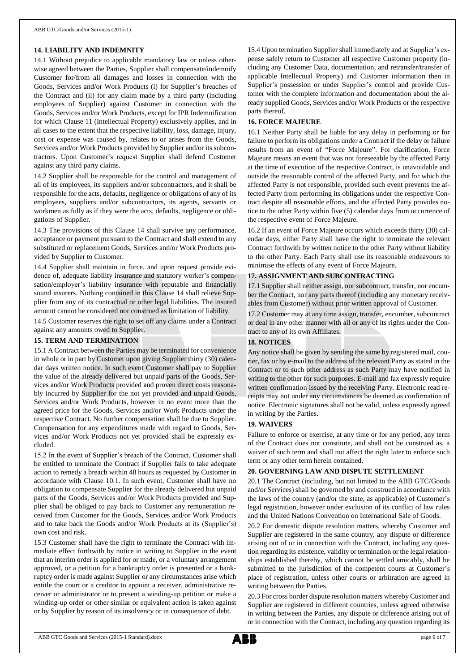### **14. LIABILITY AND INDEMNITY**

14.1 Without prejudice to applicable mandatory law or unless otherwise agreed between the Parties, Supplier shall compensate/indemnify Customer for/from all damages and losses in connection with the Goods, Services and/or Work Products (i) for Supplier's breaches of the Contract and (ii) for any claim made by a third party (including employees of Supplier) against Customer in connection with the Goods, Services and/or Work Products, except for IPR Indemnification for which Clause 11 (Intellectual Property) exclusively applies, and in all cases to the extent that the respective liability, loss, damage, injury, cost or expense was caused by, relates to or arises from the Goods, Services and/or Work Products provided by Supplier and/or its subcontractors. Upon Customer's request Supplier shall defend Customer against any third party claims.

14.2 Supplier shall be responsible for the control and management of all of its employees, its suppliers and/or subcontractors, and it shall be responsible for the acts, defaults, negligence or obligations of any of its employees, suppliers and/or subcontractors, its agents, servants or workmen as fully as if they were the acts, defaults, negligence or obligations of Supplier.

14.3 The provisions of this Clause 14 shall survive any performance, acceptance or payment pursuant to the Contract and shall extend to any substituted or replacement Goods, Services and/or Work Products provided by Supplier to Customer.

14.4 Supplier shall maintain in force, and upon request provide evidence of, adequate liability insurance and statutory worker's compensation/employer's liability insurance with reputable and financially sound insurers. Nothing contained in this Clause 14 shall relieve Supplier from any of its contractual or other legal liabilities. The insured amount cannot be considered nor construed as limitation of liability.

14.5 Customer reserves the right to set off any claims under a Contract against any amounts owed to Supplier.

### **15. TERM AND TERMINATION**

15.1 A Contract between the Parties may be terminated for convenience in whole or in part by Customer upon giving Supplier thirty (30) calendar days written notice. In such event Customer shall pay to Supplier the value of the already delivered but unpaid parts of the Goods, Services and/or Work Products provided and proven direct costs reasonably incurred by Supplier for the not yet provided and unpaid Goods, Services and/or Work Products, however in no event more than the agreed price for the Goods, Services and/or Work Products under the respective Contract. No further compensation shall be due to Supplier. Compensation for any expenditures made with regard to Goods, Services and/or Work Products not yet provided shall be expressly excluded.

15.2 In the event of Supplier's breach of the Contract, Customer shall be entitled to terminate the Contract if Supplier fails to take adequate action to remedy a breach within 48 hours as requested by Customer in accordance with Clause 10.1. In such event, Customer shall have no obligation to compensate Supplier for the already delivered but unpaid parts of the Goods, Services and/or Work Products provided and Supplier shall be obliged to pay back to Customer any remuneration received from Customer for the Goods, Services and/or Work Products and to take back the Goods and/or Work Products at its (Supplier's) own cost and risk.

15.3 Customer shall have the right to terminate the Contract with immediate effect forthwith by notice in writing to Supplier in the event that an interim order is applied for or made, or a voluntary arrangement approved, or a petition for a bankruptcy order is presented or a bankruptcy order is made against Supplier or any circumstances arise which entitle the court or a creditor to appoint a receiver, administrative receiver or administrator or to present a winding-up petition or make a winding-up order or other similar or equivalent action is taken against or by Supplier by reason of its insolvency or in consequence of debt.

15.4 Upon termination Supplier shall immediately and at Supplier's expense safely return to Customer all respective Customer property (including any Customer Data, documentation, and retransfer/transfer of applicable Intellectual Property) and Customer information then in Supplier's possession or under Supplier's control and provide Customer with the complete information and documentation about the already supplied Goods, Services and/or Work Products or the respective parts thereof.

### **16. FORCE MAJEURE**

16.1 Neither Party shall be liable for any delay in performing or for failure to perform its obligations under a Contract if the delay or failure results from an event of "Force Majeure". For clarification, Force Majeure means an event that was not foreseeable by the affected Party at the time of execution of the respective Contract, is unavoidable and outside the reasonable control of the affected Party, and for which the affected Party is not responsible, provided such event prevents the affected Party from performing its obligations under the respective Contract despite all reasonable efforts, and the affected Party provides notice to the other Party within five (5) calendar days from occurrence of the respective event of Force Majeure.

16.2 If an event of Force Majeure occurs which exceeds thirty (30) calendar days, either Party shall have the right to terminate the relevant Contract forthwith by written notice to the other Party without liability to the other Party. Each Party shall use its reasonable endeavours to minimise the effects of any event of Force Majeure.

### **17. ASSIGNMENT AND SUBCONTRACTING**

17.1 Supplier shall neither assign, nor subcontract, transfer, nor encumber the Contract, nor any parts thereof (including any monetary receivables from Customer) without prior written approval of Customer.

17.2 Customer may at any time assign, transfer, encumber, subcontract or deal in any other manner with all or any of its rights under the Contract to any of its own Affiliates.

#### **18. NOTICES**

Any notice shall be given by sending the same by registered mail, courier, fax or by e-mail to the address of the relevant Party as stated in the Contract or to such other address as such Party may have notified in writing to the other for such purposes. E-mail and fax expressly require written confirmation issued by the receiving Party. Electronic read receipts may not under any circumstances be deemed as confirmation of notice. Electronic signatures shall not be valid, unless expressly agreed in writing by the Parties.

### **19. WAIVERS**

Failure to enforce or exercise, at any time or for any period, any term of the Contract does not constitute, and shall not be construed as, a waiver of such term and shall not affect the right later to enforce such term or any other term herein contained.

#### **20. GOVERNING LAW AND DISPUTE SETTLEMENT**

20.1 The Contract (including, but not limited to the ABB GTC/Goods and/or Services) shall be governed by and construed in accordance with the laws of the country (and/or the state, as applicable) of Customer's legal registration, however under exclusion of its conflict of law rules and the United Nations Convention on International Sale of Goods.

20.2 For domestic dispute resolution matters, whereby Customer and Supplier are registered in the same country, any dispute or difference arising out of or in connection with the Contract, including any question regarding its existence, validity or termination or the legal relationships established thereby, which cannot be settled amicably, shall be submitted to the jurisdiction of the competent courts at Customer's place of registration, unless other courts or arbitration are agreed in writing between the Parties.

20.3 For cross border dispute resolution matters whereby Customer and Supplier are registered in different countries, unless agreed otherwise in writing between the Parties, any dispute or difference arising out of or in connection with the Contract, including any question regarding its